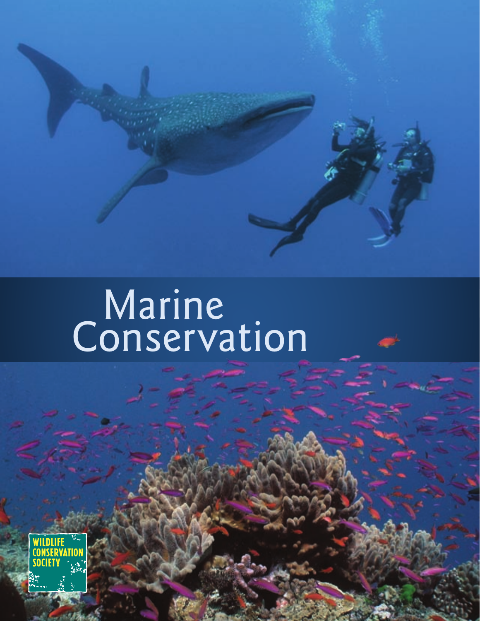# Marine Conservation

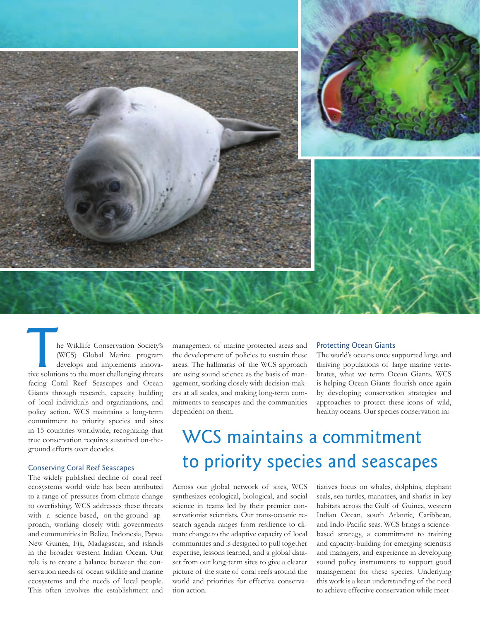

he Wildlife Conservation Society's (WCS) Global Marine program develops and implements innovathe Wildlife Conservation Society's<br>
(WCS) Global Marine program<br>
develops and implements innovative<br>
solutions to the most challenging threats facing Coral Reef Seascapes and Ocean Giants through research, capacity building of local individuals and organizations, and policy action. WCS maintains a long-term commitment to priority species and sites in 15 countries worldwide, recognizing that true conservation requires sustained on-theground efforts over decades.

#### Conserving Coral Reef Seascapes

The widely published decline of coral reef ecosystems world wide has been attributed to a range of pressures from climate change to overfishing. WCS addresses these threats with a science-based, on-the-ground approach, working closely with governments and communities in Belize, Indonesia, Papua New Guinea, Fiji, Madagascar, and islands in the broader western Indian Ocean. Our role is to create a balance between the conservation needs of ocean wildlife and marine ecosystems and the needs of local people. This often involves the establishment and management of marine protected areas and the development of policies to sustain these areas. The hallmarks of the WCS approach are using sound science as the basis of management, working closely with decision-makers at all scales, and making long-term commitments to seascapes and the communities dependent on them.

#### Protecting Ocean Giants

The world's oceans once supported large and thriving populations of large marine vertebrates, what we term Ocean Giants. WCS is helping Ocean Giants flourish once again by developing conservation strategies and approaches to protect these icons of wild, healthy oceans. Our species conservation ini-

### WCS maintains a commitment to priority species and seascapes

Across our global network of sites, WCS synthesizes ecological, biological, and social science in teams led by their premier conservationist scientists. Our trans-oceanic research agenda ranges from resilience to climate change to the adaptive capacity of local communities and is designed to pull together expertise, lessons learned, and a global dataset from our long-term sites to give a clearer picture of the state of coral reefs around the world and priorities for effective conservation action.

tiatives focus on whales, dolphins, elephant seals, sea turtles, manatees, and sharks in key habitats across the Gulf of Guinea, western Indian Ocean, south Atlantic, Caribbean, and Indo-Pacific seas. WCS brings a sciencebased strategy, a commitment to training and capacity-building for emerging scientists and managers, and experience in developing sound policy instruments to support good management for these species. Underlying this work is a keen understanding of the need to achieve effective conservation while meet-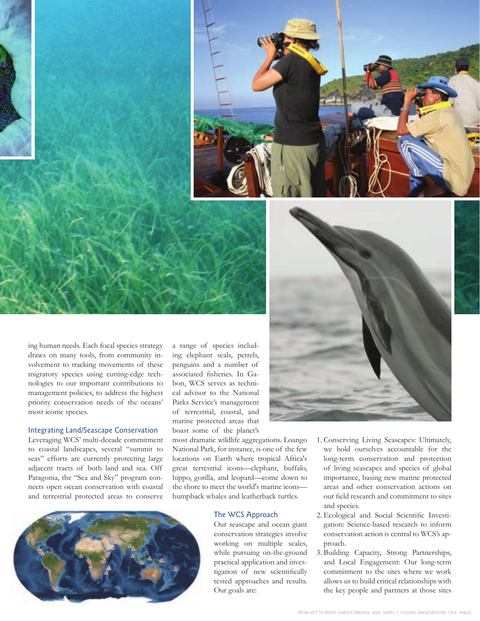

ing human needs. Each focal species strategy draws on many tools, from community involvement to tracking movements of these migratory species using cutting-edge technologies to our important contributions to management policies, to address the highest priority conservation needs of the oceans' most iconic species.

#### Integrating Land/Seascape Conservation

Leveraging WCS' multi-decade commitment to coastal landscapes, several "summit to seas" efforts are currently protecting large adjacent tracts of both land and sea. Off Patagonia, the "Sea and Sky" program connects open ocean conservation with coastal and terrestrial protected areas to conserve

a range of species including elephant seals, petrels, penguins and a number of associated fisheries. In Gabon, WCS serves as technical advisor to the National Parks Service's management of terrestrial, coastal, and marine protected areas that boast some of the planet's

most dramatic wildlife aggregations. Loango National Park, for instance, is one of the few locations on Earth where tropical Africa's great terrestrial icons—elephant, buffalo, hippo, gorilla, and leopard—come down to the shore to meet the world's marine icons humpback whales and leatherback turtles.

#### The WCS Approach

Our seascape and ocean giant conservation strategies involve working on multiple scales, while pursuing on-the-ground practical application and investigation of new scientifically tested approaches and results.

- 1. Conserving Living Seascapes: Ultimately, we hold ourselves accountable for the long-term conservation and protection of living seascapes and species of global importance, basing new marine protected areas and other conservation actions on our field research and commitment to sites and species.
- 2. Ecological and Social Scientific Investigation: Science-based research to inform conservation action is central to WCS's approach.
- 3. Building Capacity, Strong Partnerships, and Local Engagement: Our long-term commitment to the sites where we work allows us to build critical relationships with the key people and partners at those sites